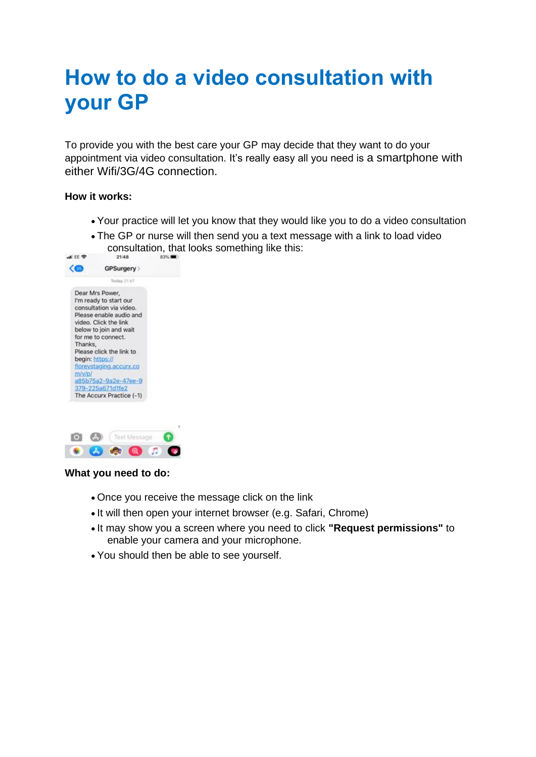# **How to do a video consultation with your GP**

To provide you with the best care your GP may decide that they want to do your appointment via video consultation. It's really easy all you need is a smartphone with either Wifi/3G/4G connection.

### **How it works:**

- Your practice will let you know that they would like you to do a video consultation
- The GP or nurse will then send you a text message with a link to load video consultation, that looks something like this:





#### **What you need to do:**

- Once you receive the message click on the link
- It will then open your internet browser (e.g. Safari, Chrome)
- It may show you a screen where you need to click **"Request permissions"** to enable your camera and your microphone.
- You should then be able to see yourself.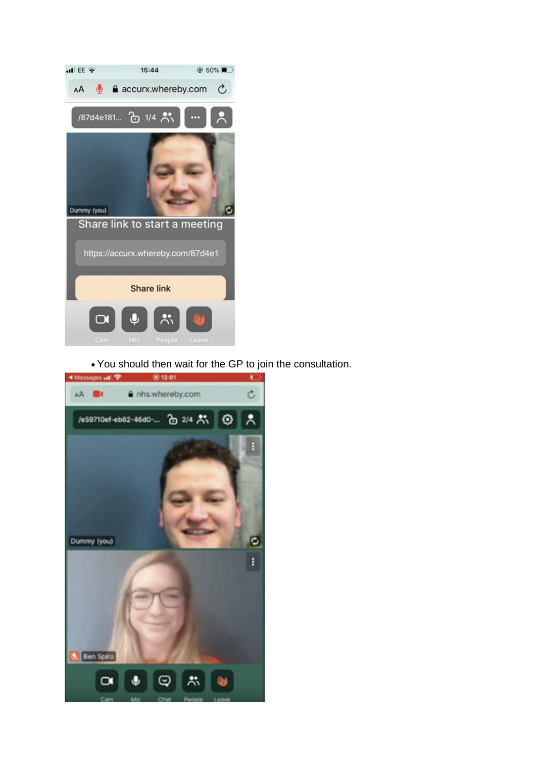

• You should then wait for the GP to join the consultation.